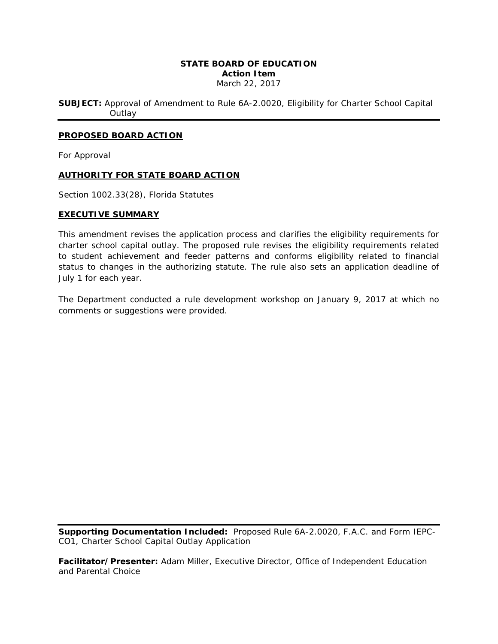# **STATE BOARD OF EDUCATION Action Item** March 22, 2017

**SUBJECT:** Approval of Amendment to Rule [6A-2.0020,](https://www.flrules.org/gateway/ruleNo.asp?id=6A-6.07862) Eligibility for Charter School Capital **Outlay** 

### **PROPOSED BOARD ACTION**

For Approval

# **AUTHORITY FOR STATE BOARD ACTION**

Section 1002.33(28), Florida Statutes

#### **EXECUTIVE SUMMARY**

This amendment revises the application process and clarifies the eligibility requirements for charter school capital outlay. The proposed rule revises the eligibility requirements related to student achievement and feeder patterns and conforms eligibility related to financial status to changes in the authorizing statute. The rule also sets an application deadline of July 1 for each year.

The Department conducted a rule development workshop on January 9, 2017 at which no comments or suggestions were provided.

**Supporting Documentation Included:** Proposed Rule 6A-2.0020, F.A.C. and Form IEPC-CO1, Charter School Capital Outlay Application

**Facilitator/Presenter:** Adam Miller, Executive Director, Office of Independent Education and Parental Choice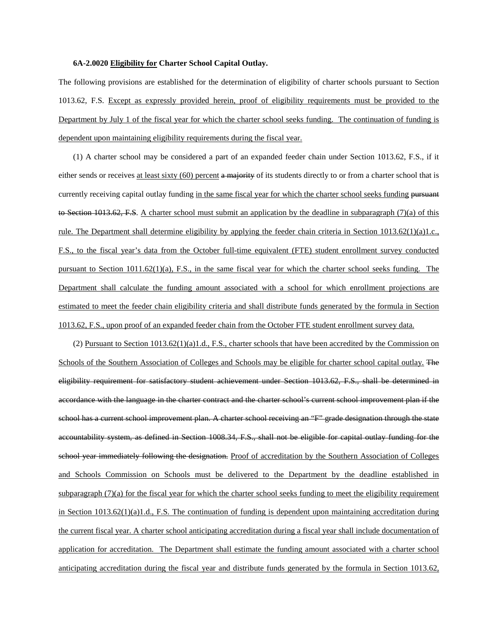#### **6A-2.0020 Eligibility for Charter School Capital Outlay.**

The following provisions are established for the determination of eligibility of charter schools pursuant to Section 1013.62, F.S. Except as expressly provided herein, proof of eligibility requirements must be provided to the Department by July 1 of the fiscal year for which the charter school seeks funding. The continuation of funding is dependent upon maintaining eligibility requirements during the fiscal year.

(1) A charter school may be considered a part of an expanded feeder chain under Section 1013.62, F.S., if it either sends or receives at least sixty  $(60)$  percent a majority of its students directly to or from a charter school that is currently receiving capital outlay funding in the same fiscal year for which the charter school seeks funding pursuant to Section 1013.62, F.S. A charter school must submit an application by the deadline in subparagraph  $(7)(a)$  of this rule. The Department shall determine eligibility by applying the feeder chain criteria in Section 1013.62(1)(a)1.c., F.S., to the fiscal year's data from the October full-time equivalent (FTE) student enrollment survey conducted pursuant to Section 1011.62(1)(a), F.S., in the same fiscal year for which the charter school seeks funding. The Department shall calculate the funding amount associated with a school for which enrollment projections are estimated to meet the feeder chain eligibility criteria and shall distribute funds generated by the formula in Section 1013.62, F.S., upon proof of an expanded feeder chain from the October FTE student enrollment survey data.

(2) Pursuant to Section 1013.62(1)(a)1.d., F.S., charter schools that have been accredited by the Commission on Schools of the Southern Association of Colleges and Schools may be eligible for charter school capital outlay. The eligibility requirement for satisfactory student achievement under Section 1013.62, F.S., shall be determined in accordance with the language in the charter contract and the charter school's current school improvement plan if the school has a current school improvement plan. A charter school receiving an "F" grade designation through the state accountability system, as defined in Section 1008.34, F.S., shall not be eligible for capital outlay funding for the school year immediately following the designation. Proof of accreditation by the Southern Association of Colleges and Schools Commission on Schools must be delivered to the Department by the deadline established in subparagraph  $(7)(a)$  for the fiscal year for which the charter school seeks funding to meet the eligibility requirement in Section 1013.62(1)(a)1.d., F.S. The continuation of funding is dependent upon maintaining accreditation during the current fiscal year. A charter school anticipating accreditation during a fiscal year shall include documentation of application for accreditation. The Department shall estimate the funding amount associated with a charter school anticipating accreditation during the fiscal year and distribute funds generated by the formula in Section 1013.62,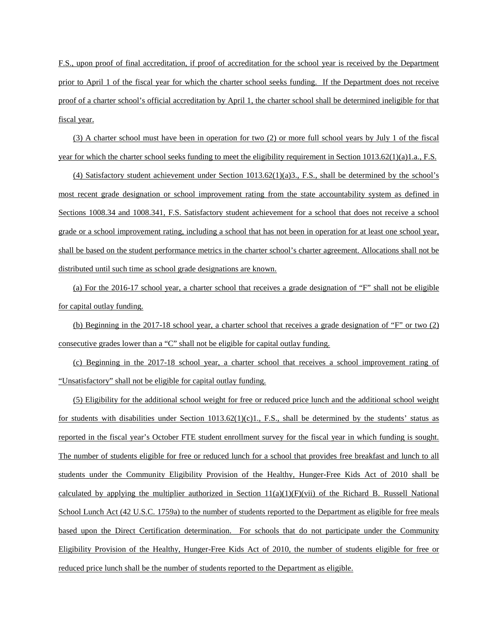F.S., upon proof of final accreditation, if proof of accreditation for the school year is received by the Department prior to April 1 of the fiscal year for which the charter school seeks funding. If the Department does not receive proof of a charter school's official accreditation by April 1, the charter school shall be determined ineligible for that fiscal year.

(3) A charter school must have been in operation for two (2) or more full school years by July 1 of the fiscal year for which the charter school seeks funding to meet the eligibility requirement in Section 1013.62(1)(a)1.a., F.S.

(4) Satisfactory student achievement under Section 1013.62(1)(a)3., F.S., shall be determined by the school's most recent grade designation or school improvement rating from the state accountability system as defined in Sections 1008.34 and 1008.341, F.S. Satisfactory student achievement for a school that does not receive a school grade or a school improvement rating, including a school that has not been in operation for at least one school year, shall be based on the student performance metrics in the charter school's charter agreement. Allocations shall not be distributed until such time as school grade designations are known.

(a) For the 2016-17 school year, a charter school that receives a grade designation of "F" shall not be eligible for capital outlay funding.

(b) Beginning in the 2017-18 school year, a charter school that receives a grade designation of "F" or two (2) consecutive grades lower than a "C" shall not be eligible for capital outlay funding.

(c) Beginning in the 2017-18 school year, a charter school that receives a school improvement rating of "Unsatisfactory" shall not be eligible for capital outlay funding.

(5) Eligibility for the additional school weight for free or reduced price lunch and the additional school weight for students with disabilities under Section 1013.62(1)(c)1., F.S., shall be determined by the students' status as reported in the fiscal year's October FTE student enrollment survey for the fiscal year in which funding is sought. The number of students eligible for free or reduced lunch for a school that provides free breakfast and lunch to all students under the Community Eligibility Provision of the Healthy, Hunger-Free Kids Act of 2010 shall be calculated by applying the multiplier authorized in Section  $11(a)(1)(F)(vii)$  of the Richard B. Russell National School Lunch Act (42 U.S.C. 1759a) to the number of students reported to the Department as eligible for free meals based upon the Direct Certification determination. For schools that do not participate under the Community Eligibility Provision of the Healthy, Hunger-Free Kids Act of 2010, the number of students eligible for free or reduced price lunch shall be the number of students reported to the Department as eligible.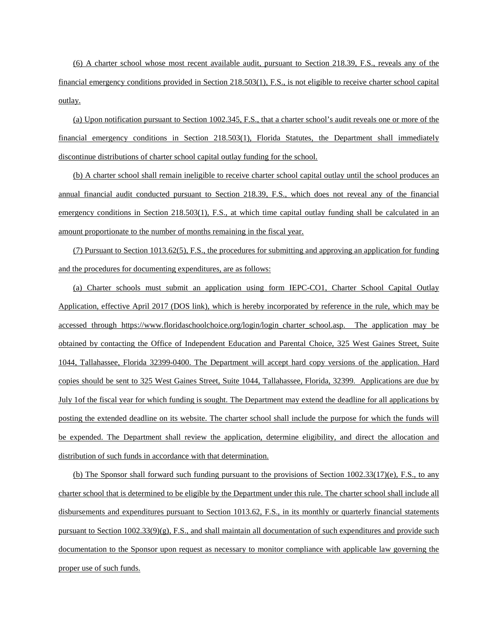(6) A charter school whose most recent available audit, pursuant to Section 218.39, F.S., reveals any of the financial emergency conditions provided in Section 218.503(1), F.S., is not eligible to receive charter school capital outlay.

(a) Upon notification pursuant to Section 1002.345, F.S., that a charter school's audit reveals one or more of the financial emergency conditions in Section 218.503(1), Florida Statutes, the Department shall immediately discontinue distributions of charter school capital outlay funding for the school.

(b) A charter school shall remain ineligible to receive charter school capital outlay until the school produces an annual financial audit conducted pursuant to Section 218.39, F.S., which does not reveal any of the financial emergency conditions in Section 218.503(1), F.S., at which time capital outlay funding shall be calculated in an amount proportionate to the number of months remaining in the fiscal year.

(7) Pursuant to Section 1013.62(5), F.S., the procedures for submitting and approving an application for funding and the procedures for documenting expenditures, are as follows:

(a) Charter schools must submit an application using form IEPC-CO1, Charter School Capital Outlay Application, effective April 2017 (DOS link), which is hereby incorporated by reference in the rule, which may be accessed through https://www.floridaschoolchoice.org/login/login charter school.asp. The application may be obtained by contacting the Office of Independent Education and Parental Choice, 325 West Gaines Street, Suite 1044, Tallahassee, Florida 32399-0400. The Department will accept hard copy versions of the application. Hard copies should be sent to 325 West Gaines Street, Suite 1044, Tallahassee, Florida, 32399. Applications are due by July 1of the fiscal year for which funding is sought. The Department may extend the deadline for all applications by posting the extended deadline on its website. The charter school shall include the purpose for which the funds will be expended. The Department shall review the application, determine eligibility, and direct the allocation and distribution of such funds in accordance with that determination.

(b) The Sponsor shall forward such funding pursuant to the provisions of Section 1002.33(17)(e), F.S., to any charter school that is determined to be eligible by the Department under this rule. The charter school shall include all disbursements and expenditures pursuant to Section 1013.62, F.S., in its monthly or quarterly financial statements pursuant to Section  $1002.33(9)(g)$ , F.S., and shall maintain all documentation of such expenditures and provide such documentation to the Sponsor upon request as necessary to monitor compliance with applicable law governing the proper use of such funds.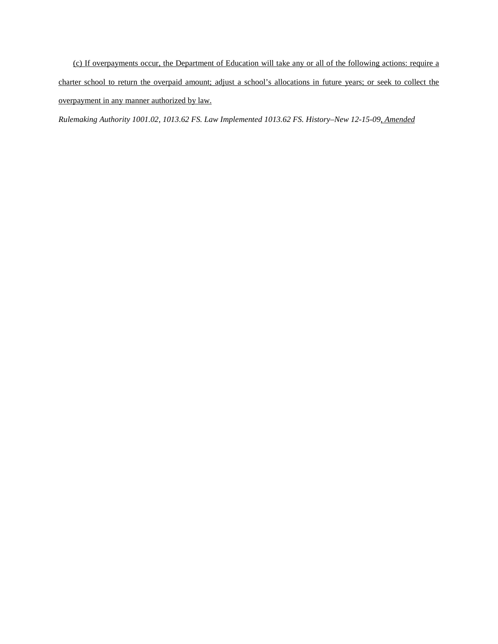(c) If overpayments occur, the Department of Education will take any or all of the following actions: require a charter school to return the overpaid amount; adjust a school's allocations in future years; or seek to collect the overpayment in any manner authorized by law.

*Rulemaking Authority 1001.02, 1013.62 FS. Law Implemented 1013.62 FS. History–New 12-15-09, Amended*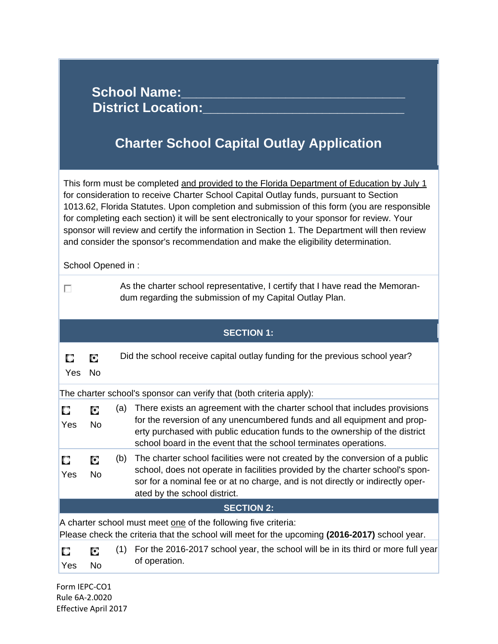| <b>School Name:</b><br><b>District Location:</b><br><b>Charter School Capital Outlay Application</b>                                                                                                                                                                                                                                                                                                                                                                                                                                                                                         |  |  |  |  |  |  |
|----------------------------------------------------------------------------------------------------------------------------------------------------------------------------------------------------------------------------------------------------------------------------------------------------------------------------------------------------------------------------------------------------------------------------------------------------------------------------------------------------------------------------------------------------------------------------------------------|--|--|--|--|--|--|
| This form must be completed and provided to the Florida Department of Education by July 1<br>for consideration to receive Charter School Capital Outlay funds, pursuant to Section<br>1013.62, Florida Statutes. Upon completion and submission of this form (you are responsible<br>for completing each section) it will be sent electronically to your sponsor for review. Your<br>sponsor will review and certify the information in Section 1. The Department will then review<br>and consider the sponsor's recommendation and make the eligibility determination.<br>School Opened in: |  |  |  |  |  |  |
| As the charter school representative, I certify that I have read the Memoran-<br>П<br>dum regarding the submission of my Capital Outlay Plan.                                                                                                                                                                                                                                                                                                                                                                                                                                                |  |  |  |  |  |  |
| <b>SECTION 1:</b>                                                                                                                                                                                                                                                                                                                                                                                                                                                                                                                                                                            |  |  |  |  |  |  |
| Did the school receive capital outlay funding for the previous school year?<br>Ο<br>О<br>Yes<br><b>No</b>                                                                                                                                                                                                                                                                                                                                                                                                                                                                                    |  |  |  |  |  |  |
| The charter school's sponsor can verify that (both criteria apply):                                                                                                                                                                                                                                                                                                                                                                                                                                                                                                                          |  |  |  |  |  |  |
| There exists an agreement with the charter school that includes provisions<br>(a)<br>О<br>О<br>for the reversion of any unencumbered funds and all equipment and prop-<br>No<br>Yes<br>erty purchased with public education funds to the ownership of the district<br>school board in the event that the school terminates operations.                                                                                                                                                                                                                                                       |  |  |  |  |  |  |
| The charter school facilities were not created by the conversion of a public<br>(b)<br>О<br>О<br>school, does not operate in facilities provided by the charter school's spon-<br>Yes<br>No<br>sor for a nominal fee or at no charge, and is not directly or indirectly oper-<br>ated by the school district.                                                                                                                                                                                                                                                                                |  |  |  |  |  |  |
| <b>SECTION 2:</b>                                                                                                                                                                                                                                                                                                                                                                                                                                                                                                                                                                            |  |  |  |  |  |  |
| A charter school must meet one of the following five criteria:<br>Please check the criteria that the school will meet for the upcoming (2016-2017) school year.                                                                                                                                                                                                                                                                                                                                                                                                                              |  |  |  |  |  |  |
| For the 2016-2017 school year, the school will be in its third or more full year<br>(1)<br>О<br>О<br>of operation.<br>No<br>Yes                                                                                                                                                                                                                                                                                                                                                                                                                                                              |  |  |  |  |  |  |
| Form IEPC-CO1                                                                                                                                                                                                                                                                                                                                                                                                                                                                                                                                                                                |  |  |  |  |  |  |

 Rule 6A‐2.0020 Effective April 2017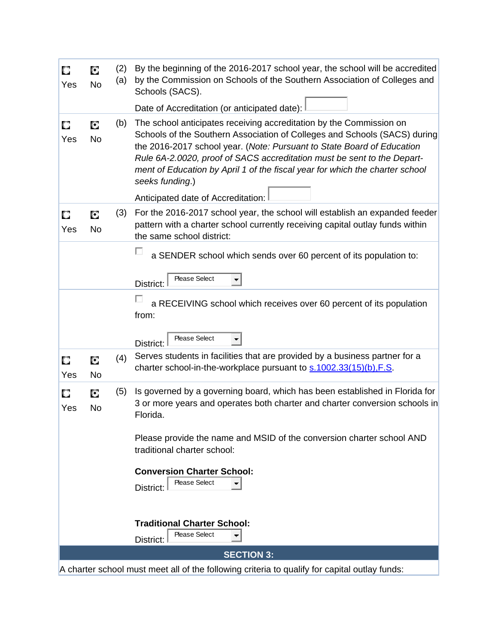| О<br>Yes | О<br><b>No</b> | (2)<br>(a) | By the beginning of the 2016-2017 school year, the school will be accredited<br>by the Commission on Schools of the Southern Association of Colleges and<br>Schools (SACS).                                                                                                                                                                                                                              |
|----------|----------------|------------|----------------------------------------------------------------------------------------------------------------------------------------------------------------------------------------------------------------------------------------------------------------------------------------------------------------------------------------------------------------------------------------------------------|
|          |                |            | Date of Accreditation (or anticipated date):                                                                                                                                                                                                                                                                                                                                                             |
| О<br>Yes | О<br>No        | (b)        | The school anticipates receiving accreditation by the Commission on<br>Schools of the Southern Association of Colleges and Schools (SACS) during<br>the 2016-2017 school year. (Note: Pursuant to State Board of Education<br>Rule 6A-2.0020, proof of SACS accreditation must be sent to the Depart-<br>ment of Education by April 1 of the fiscal year for which the charter school<br>seeks funding.) |
|          |                |            | Anticipated date of Accreditation:                                                                                                                                                                                                                                                                                                                                                                       |
| О<br>Yes | О<br><b>No</b> | (3)        | For the 2016-2017 school year, the school will establish an expanded feeder<br>pattern with a charter school currently receiving capital outlay funds within<br>the same school district:                                                                                                                                                                                                                |
|          |                |            | a SENDER school which sends over 60 percent of its population to:<br>Please Select<br>District:                                                                                                                                                                                                                                                                                                          |
|          |                |            | a RECEIVING school which receives over 60 percent of its population<br>from:<br>Please Select                                                                                                                                                                                                                                                                                                            |
|          |                |            | District:                                                                                                                                                                                                                                                                                                                                                                                                |
| О<br>Yes | О<br><b>No</b> | (4)        | Serves students in facilities that are provided by a business partner for a<br>charter school-in-the-workplace pursuant to s.1002.33(15)(b), F.S.                                                                                                                                                                                                                                                        |
| О<br>Yes | Ο<br>No        | (5)        | Is governed by a governing board, which has been established in Florida for<br>3 or more years and operates both charter and charter conversion schools in<br>Florida.                                                                                                                                                                                                                                   |
|          |                |            | Please provide the name and MSID of the conversion charter school AND<br>traditional charter school:                                                                                                                                                                                                                                                                                                     |
|          |                |            | <b>Conversion Charter School:</b><br>Please Select<br>District:                                                                                                                                                                                                                                                                                                                                          |
|          |                |            | <b>Traditional Charter School:</b><br>Please Select<br>District:                                                                                                                                                                                                                                                                                                                                         |
|          |                |            | <b>SECTION 3:</b>                                                                                                                                                                                                                                                                                                                                                                                        |

A charter school must meet all of the following criteria to qualify for capital outlay funds: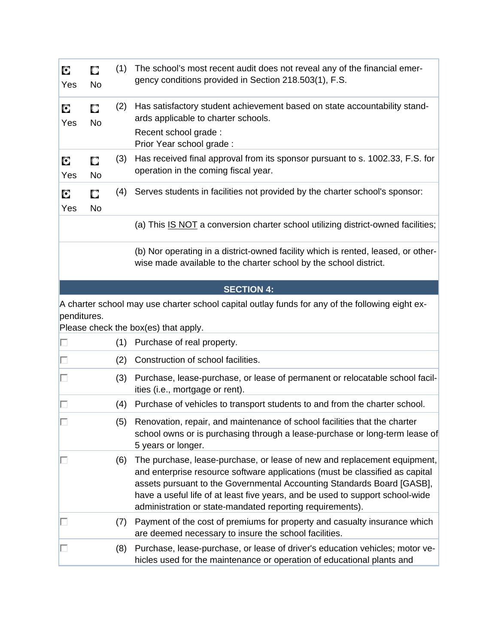| О<br>Yes    | О<br><b>No</b> | (1) | The school's most recent audit does not reveal any of the financial emer-<br>gency conditions provided in Section 218.503(1), F.S.                                                                                                                                                                                                                                               |
|-------------|----------------|-----|----------------------------------------------------------------------------------------------------------------------------------------------------------------------------------------------------------------------------------------------------------------------------------------------------------------------------------------------------------------------------------|
| О<br>Yes    | О<br><b>No</b> | (2) | Has satisfactory student achievement based on state accountability stand-<br>ards applicable to charter schools.                                                                                                                                                                                                                                                                 |
|             |                |     | Recent school grade:<br>Prior Year school grade:                                                                                                                                                                                                                                                                                                                                 |
| О<br>Yes    | О<br>No        | (3) | Has received final approval from its sponsor pursuant to s. 1002.33, F.S. for<br>operation in the coming fiscal year.                                                                                                                                                                                                                                                            |
| О<br>Yes    | О<br><b>No</b> | (4) | Serves students in facilities not provided by the charter school's sponsor:                                                                                                                                                                                                                                                                                                      |
|             |                |     | (a) This IS NOT a conversion charter school utilizing district-owned facilities;                                                                                                                                                                                                                                                                                                 |
|             |                |     | (b) Nor operating in a district-owned facility which is rented, leased, or other-<br>wise made available to the charter school by the school district.                                                                                                                                                                                                                           |
|             |                |     | <b>SECTION 4:</b>                                                                                                                                                                                                                                                                                                                                                                |
|             |                |     | A charter school may use charter school capital outlay funds for any of the following eight ex-                                                                                                                                                                                                                                                                                  |
| penditures. |                |     | Please check the box(es) that apply.                                                                                                                                                                                                                                                                                                                                             |
| п           |                | (1) | Purchase of real property.                                                                                                                                                                                                                                                                                                                                                       |
| п           |                | (2) | Construction of school facilities.                                                                                                                                                                                                                                                                                                                                               |
| п           |                | (3) | Purchase, lease-purchase, or lease of permanent or relocatable school facil-<br>ities (i.e., mortgage or rent).                                                                                                                                                                                                                                                                  |
| п           |                | (4) | Purchase of vehicles to transport students to and from the charter school.                                                                                                                                                                                                                                                                                                       |
|             |                |     | (5) Renovation, repair, and maintenance of school facilities that the charter<br>school owns or is purchasing through a lease-purchase or long-term lease of<br>5 years or longer.                                                                                                                                                                                               |
| ш           |                | (6) | The purchase, lease-purchase, or lease of new and replacement equipment,<br>and enterprise resource software applications (must be classified as capital<br>assets pursuant to the Governmental Accounting Standards Board [GASB],<br>have a useful life of at least five years, and be used to support school-wide<br>administration or state-mandated reporting requirements). |
| П           |                | (7) | Payment of the cost of premiums for property and casualty insurance which<br>are deemed necessary to insure the school facilities.                                                                                                                                                                                                                                               |
| □           |                | (8) | Purchase, lease-purchase, or lease of driver's education vehicles; motor ve-                                                                                                                                                                                                                                                                                                     |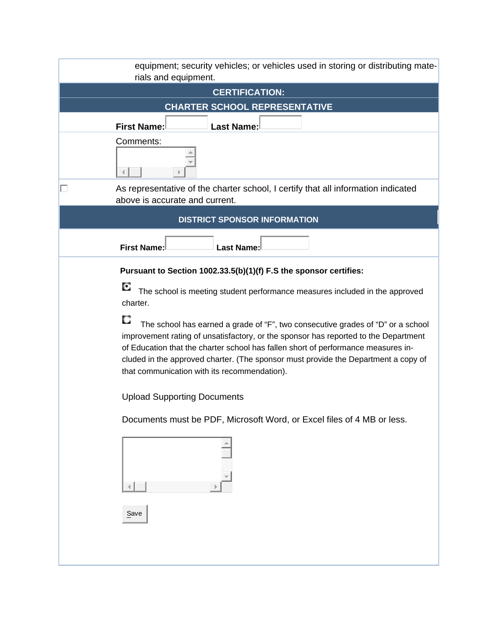| equipment; security vehicles; or vehicles used in storing or distributing mate-<br>rials and equipment.                                                                                                                                                                                                                                                                                           |
|---------------------------------------------------------------------------------------------------------------------------------------------------------------------------------------------------------------------------------------------------------------------------------------------------------------------------------------------------------------------------------------------------|
| <b>CERTIFICATION:</b>                                                                                                                                                                                                                                                                                                                                                                             |
| <b>CHARTER SCHOOL REPRESENTATIVE</b>                                                                                                                                                                                                                                                                                                                                                              |
| <b>First Name:</b><br><b>Last Name:</b>                                                                                                                                                                                                                                                                                                                                                           |
| Comments:                                                                                                                                                                                                                                                                                                                                                                                         |
| As representative of the charter school, I certify that all information indicated<br>п<br>above is accurate and current.                                                                                                                                                                                                                                                                          |
| <b>DISTRICT SPONSOR INFORMATION</b>                                                                                                                                                                                                                                                                                                                                                               |
| <b>First Name:</b><br><b>Last Name:</b>                                                                                                                                                                                                                                                                                                                                                           |
| Pursuant to Section 1002.33.5(b)(1)(f) F.S the sponsor certifies:                                                                                                                                                                                                                                                                                                                                 |
| О<br>The school is meeting student performance measures included in the approved<br>charter.                                                                                                                                                                                                                                                                                                      |
| The school has earned a grade of "F", two consecutive grades of "D" or a school<br>improvement rating of unsatisfactory, or the sponsor has reported to the Department<br>of Education that the charter school has fallen short of performance measures in-<br>cluded in the approved charter. (The sponsor must provide the Department a copy of<br>that communication with its recommendation). |
| <b>Upload Supporting Documents</b>                                                                                                                                                                                                                                                                                                                                                                |
| Documents must be PDF, Microsoft Word, or Excel files of 4 MB or less.                                                                                                                                                                                                                                                                                                                            |
|                                                                                                                                                                                                                                                                                                                                                                                                   |
| Save                                                                                                                                                                                                                                                                                                                                                                                              |
|                                                                                                                                                                                                                                                                                                                                                                                                   |